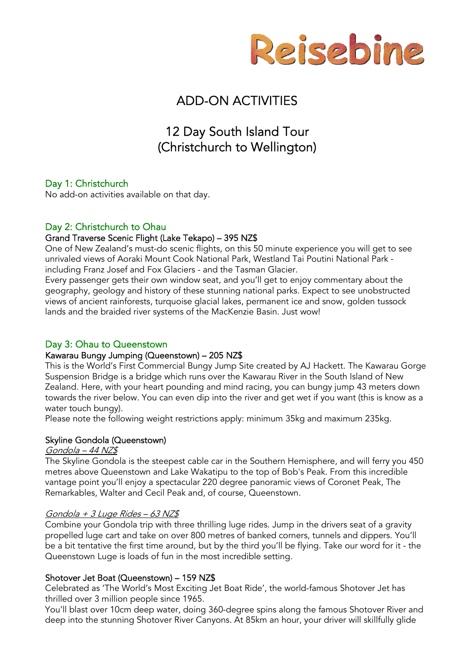

# ADD-ON ACTIVITIES

# 12 Day South Island Tour (Christchurch to Wellington)

# Day 1: Christchurch

No add-on activities available on that day.

# Day 2: Christchurch to Ohau

# Grand Traverse Scenic Flight (Lake Tekapo) – 395 NZ\$

One of New Zealand's must-do scenic flights, on this 50 minute experience you will get to see unrivaled views of Aoraki Mount Cook National Park, Westland Tai Poutini National Park including Franz Josef and Fox Glaciers - and the Tasman Glacier.

Every passenger gets their own window seat, and you'll get to enjoy commentary about the geography, geology and history of these stunning national parks. Expect to see unobstructed views of ancient rainforests, turquoise glacial lakes, permanent ice and snow, golden tussock lands and the braided river systems of the MacKenzie Basin. Just wow!

## Day 3: Ohau to Queenstown

## Kawarau Bungy Jumping (Queenstown) – 205 NZ\$

This is the World's First Commercial Bungy Jump Site created by AJ Hackett. The Kawarau Gorge Suspension Bridge is a bridge which runs over the Kawarau River in the South Island of New Zealand. Here, with your heart pounding and mind racing, you can bungy jump 43 meters down towards the river below. You can even dip into the river and get wet if you want (this is know as a water touch bungy).

Please note the following weight restrictions apply: minimum 35kg and maximum 235kg.

## Skyline Gondola (Queenstown)

## Gondola – 44 NZ\$

The Skyline Gondola is the steepest cable car in the Southern Hemisphere, and will ferry you 450 metres above Queenstown and Lake Wakatipu to the top of Bob's Peak. From this incredible vantage point you'll enjoy a spectacular 220 degree panoramic views of Coronet Peak, The Remarkables, Walter and Cecil Peak and, of course, Queenstown.

## Gondola + 3 Luge Rides – 63 NZ\$

Combine your Gondola trip with three thrilling luge rides. Jump in the drivers seat of a gravity propelled luge cart and take on over 800 metres of banked corners, tunnels and dippers. You'll be a bit tentative the first time around, but by the third you'll be flying. Take our word for it - the Queenstown Luge is loads of fun in the most incredible setting.

## Shotover Jet Boat (Queenstown) – 159 NZ\$

Celebrated as 'The World's Most Exciting Jet Boat Ride', the world-famous Shotover Jet has thrilled over 3 million people since 1965.

You'll blast over 10cm deep water, doing 360-degree spins along the famous Shotover River and deep into the stunning Shotover River Canyons. At 85km an hour, your driver will skillfully glide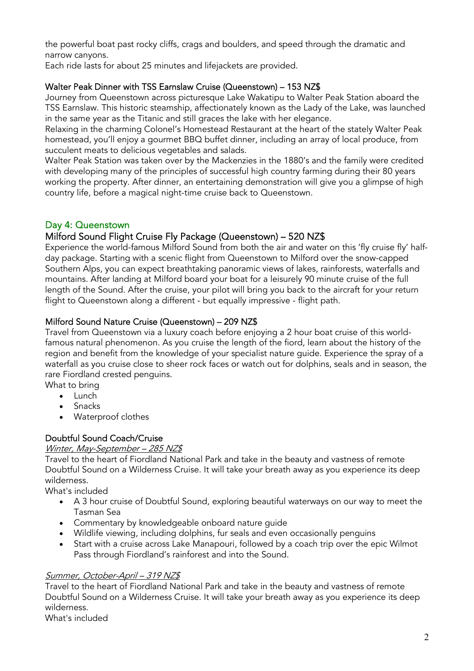the powerful boat past rocky cliffs, crags and boulders, and speed through the dramatic and narrow canyons.

Each ride lasts for about 25 minutes and lifejackets are provided.

# Walter Peak Dinner with TSS Earnslaw Cruise (Queenstown) – 153 NZ\$

Journey from Queenstown across picturesque Lake Wakatipu to Walter Peak Station aboard the TSS Earnslaw. This historic steamship, affectionately known as the Lady of the Lake, was launched in the same year as the Titanic and still graces the lake with her elegance.

Relaxing in the charming Colonel's Homestead Restaurant at the heart of the stately Walter Peak homestead, you'll enjoy a gourmet BBQ buffet dinner, including an array of local produce, from succulent meats to delicious vegetables and salads.

Walter Peak Station was taken over by the Mackenzies in the 1880's and the family were credited with developing many of the principles of successful high country farming during their 80 years working the property. After dinner, an entertaining demonstration will give you a glimpse of high country life, before a magical night-time cruise back to Queenstown.

# Day 4: Queenstown

# Milford Sound Flight Cruise Fly Package (Queenstown) – 520 NZ\$

Experience the world-famous Milford Sound from both the air and water on this 'fly cruise fly' halfday package. Starting with a scenic flight from Queenstown to Milford over the snow-capped Southern Alps, you can expect breathtaking panoramic views of lakes, rainforests, waterfalls and mountains. After landing at Milford board your boat for a leisurely 90 minute cruise of the full length of the Sound. After the cruise, your pilot will bring you back to the aircraft for your return flight to Queenstown along a different - but equally impressive - flight path.

# Milford Sound Nature Cruise (Queenstown) – 209 NZ\$

Travel from Queenstown via a luxury coach before enjoying a 2 hour boat cruise of this worldfamous natural phenomenon. As you cruise the length of the fiord, learn about the history of the region and benefit from the knowledge of your specialist nature guide. Experience the spray of a waterfall as you cruise close to sheer rock faces or watch out for dolphins, seals and in season, the rare Fiordland crested penguins.

What to bring

- Lunch
- Snacks
- Waterproof clothes

# Doubtful Sound Coach/Cruise

# Winter, May-September - 285 NZ\$

Travel to the heart of Fiordland National Park and take in the beauty and vastness of remote Doubtful Sound on a Wilderness Cruise. It will take your breath away as you experience its deep wilderness.

What's included

- A 3 hour cruise of Doubtful Sound, exploring beautiful waterways on our way to meet the Tasman Sea
- Commentary by knowledgeable onboard nature guide
- Wildlife viewing, including dolphins, fur seals and even occasionally penguins
- Start with a cruise across Lake Manapouri, followed by a coach trip over the epic Wilmot Pass through Fiordland's rainforest and into the Sound.

# Summer, October-April – 319 NZ\$

Travel to the heart of Fiordland National Park and take in the beauty and vastness of remote Doubtful Sound on a Wilderness Cruise. It will take your breath away as you experience its deep wilderness.

What's included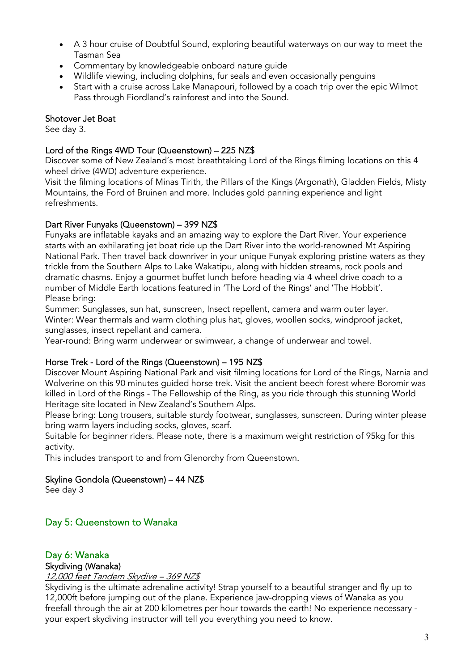- A 3 hour cruise of Doubtful Sound, exploring beautiful waterways on our way to meet the Tasman Sea
- Commentary by knowledgeable onboard nature guide
- Wildlife viewing, including dolphins, fur seals and even occasionally penguins
- Start with a cruise across Lake Manapouri, followed by a coach trip over the epic Wilmot Pass through Fiordland's rainforest and into the Sound.

# Shotover Jet Boat

See day 3.

# Lord of the Rings 4WD Tour (Queenstown) – 225 NZ\$

Discover some of New Zealand's most breathtaking Lord of the Rings filming locations on this 4 wheel drive (4WD) adventure experience.

Visit the filming locations of Minas Tirith, the Pillars of the Kings (Argonath), Gladden Fields, Misty Mountains, the Ford of Bruinen and more. Includes gold panning experience and light refreshments.

# Dart River Funyaks (Queenstown) – 399 NZ\$

Funyaks are inflatable kayaks and an amazing way to explore the Dart River. Your experience starts with an exhilarating jet boat ride up the Dart River into the world-renowned Mt Aspiring National Park. Then travel back downriver in your unique Funyak exploring pristine waters as they trickle from the Southern Alps to Lake Wakatipu, along with hidden streams, rock pools and dramatic chasms. Enjoy a gourmet buffet lunch before heading via 4 wheel drive coach to a number of Middle Earth locations featured in 'The Lord of the Rings' and 'The Hobbit'. Please bring:

Summer: Sunglasses, sun hat, sunscreen, Insect repellent, camera and warm outer layer. Winter: Wear thermals and warm clothing plus hat, gloves, woollen socks, windproof jacket, sunglasses, insect repellant and camera.

Year-round: Bring warm underwear or swimwear, a change of underwear and towel.

## Horse Trek - Lord of the Rings (Queenstown) – 195 NZ\$

Discover Mount Aspiring National Park and visit filming locations for Lord of the Rings, Narnia and Wolverine on this 90 minutes guided horse trek. Visit the ancient beech forest where Boromir was killed in Lord of the Rings - The Fellowship of the Ring, as you ride through this stunning World Heritage site located in New Zealand's Southern Alps.

Please bring: Long trousers, suitable sturdy footwear, sunglasses, sunscreen. During winter please bring warm layers including socks, gloves, scarf.

Suitable for beginner riders. Please note, there is a maximum weight restriction of 95kg for this activity.

This includes transport to and from Glenorchy from Queenstown.

## Skyline Gondola (Queenstown) – 44 NZ\$

See day 3

# Day 5: Queenstown to Wanaka

# Day 6: Wanaka Skydiving (Wanaka)

# 12,000 feet Tandem Skydive – 369 NZ\$

Skydiving is the ultimate adrenaline activity! Strap yourself to a beautiful stranger and fly up to 12,000ft before jumping out of the plane. Experience jaw-dropping views of Wanaka as you freefall through the air at 200 kilometres per hour towards the earth! No experience necessary your expert skydiving instructor will tell you everything you need to know.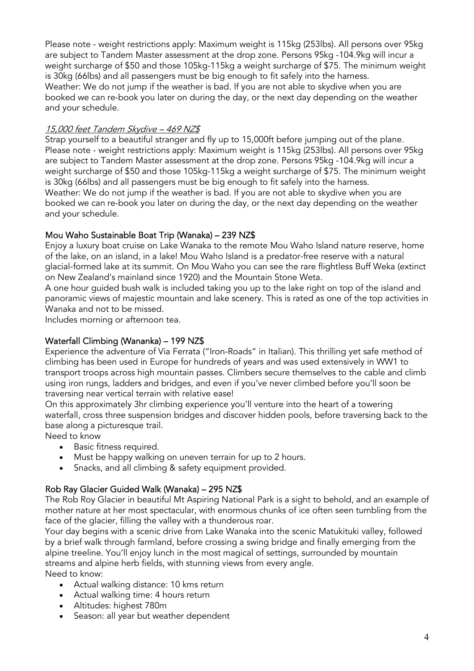Please note - weight restrictions apply: Maximum weight is 115kg (253lbs). All persons over 95kg are subject to Tandem Master assessment at the drop zone. Persons 95kg -104.9kg will incur a weight surcharge of \$50 and those 105kg-115kg a weight surcharge of \$75. The minimum weight is 30kg (66lbs) and all passengers must be big enough to fit safely into the harness. Weather: We do not jump if the weather is bad. If you are not able to skydive when you are booked we can re-book you later on during the day, or the next day depending on the weather and your schedule.

# 15,000 feet Tandem Skydive – 469 NZ\$

Strap yourself to a beautiful stranger and fly up to 15,000ft before jumping out of the plane. Please note - weight restrictions apply: Maximum weight is 115kg (253lbs). All persons over 95kg are subject to Tandem Master assessment at the drop zone. Persons 95kg -104.9kg will incur a weight surcharge of \$50 and those 105kg-115kg a weight surcharge of \$75. The minimum weight is 30kg (66lbs) and all passengers must be big enough to fit safely into the harness. Weather: We do not jump if the weather is bad. If you are not able to skydive when you are booked we can re-book you later on during the day, or the next day depending on the weather and your schedule.

# Mou Waho Sustainable Boat Trip (Wanaka) – 239 NZ\$

Enjoy a luxury boat cruise on Lake Wanaka to the remote Mou Waho Island nature reserve, home of the lake, on an island, in a lake! Mou Waho Island is a predator-free reserve with a natural glacial-formed lake at its summit. On Mou Waho you can see the rare flightless Buff Weka (extinct on New Zealand's mainland since 1920) and the Mountain Stone Weta.

A one hour guided bush walk is included taking you up to the lake right on top of the island and panoramic views of majestic mountain and lake scenery. This is rated as one of the top activities in Wanaka and not to be missed.

Includes morning or afternoon tea.

# Waterfall Climbing (Wananka) – 199 NZ\$

Experience the adventure of Via Ferrata ("Iron-Roads" in Italian). This thrilling yet safe method of climbing has been used in Europe for hundreds of years and was used extensively in WW1 to transport troops across high mountain passes. Climbers secure themselves to the cable and climb using iron rungs, ladders and bridges, and even if you've never climbed before you'll soon be traversing near vertical terrain with relative ease!

On this approximately 3hr climbing experience you'll venture into the heart of a towering waterfall, cross three suspension bridges and discover hidden pools, before traversing back to the base along a picturesque trail.

Need to know

- Basic fitness required.
- Must be happy walking on uneven terrain for up to 2 hours.
- Snacks, and all climbing & safety equipment provided.

# Rob Ray Glacier Guided Walk (Wanaka) – 295 NZ\$

The Rob Roy Glacier in beautiful Mt Aspiring National Park is a sight to behold, and an example of mother nature at her most spectacular, with enormous chunks of ice often seen tumbling from the face of the glacier, filling the valley with a thunderous roar.

Your day begins with a scenic drive from Lake Wanaka into the scenic Matukituki valley, followed by a brief walk through farmland, before crossing a swing bridge and finally emerging from the alpine treeline. You'll enjoy lunch in the most magical of settings, surrounded by mountain streams and alpine herb fields, with stunning views from every angle. Need to know:

- Actual walking distance: 10 kms return
- Actual walking time: 4 hours return
- Altitudes: highest 780m
- Season: all year but weather dependent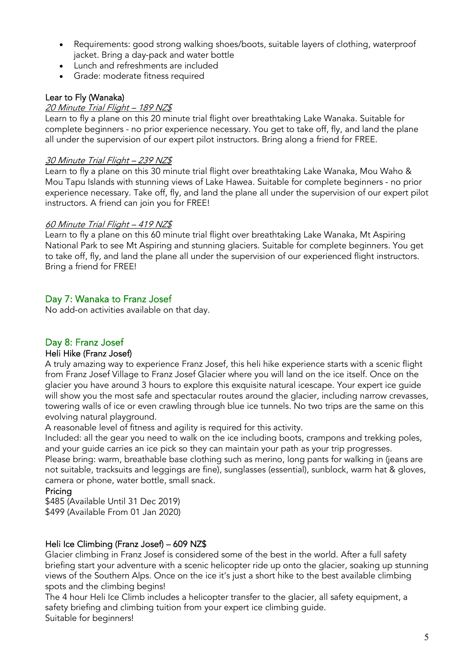- Requirements: good strong walking shoes/boots, suitable layers of clothing, waterproof jacket. Bring a day-pack and water bottle
- Lunch and refreshments are included
- Grade: moderate fitness required

### Lear to Fly (Wanaka)

#### 20 Minute Trial Flight – 189 NZ\$

Learn to fly a plane on this 20 minute trial flight over breathtaking Lake Wanaka. Suitable for complete beginners - no prior experience necessary. You get to take off, fly, and land the plane all under the supervision of our expert pilot instructors. Bring along a friend for FREE.

#### 30 Minute Trial Flight – 239 NZ\$

Learn to fly a plane on this 30 minute trial flight over breathtaking Lake Wanaka, Mou Waho & Mou Tapu Islands with stunning views of Lake Hawea. Suitable for complete beginners - no prior experience necessary. Take off, fly, and land the plane all under the supervision of our expert pilot instructors. A friend can join you for FREE!

#### 60 Minute Trial Flight – 419 NZ\$

Learn to fly a plane on this 60 minute trial flight over breathtaking Lake Wanaka, Mt Aspiring National Park to see Mt Aspiring and stunning glaciers. Suitable for complete beginners. You get to take off, fly, and land the plane all under the supervision of our experienced flight instructors. Bring a friend for FREE!

## Day 7: Wanaka to Franz Josef

No add-on activities available on that day.

## Day 8: Franz Josef

#### Heli Hike (Franz Josef)

A truly amazing way to experience Franz Josef, this heli hike experience starts with a scenic flight from Franz Josef Village to Franz Josef Glacier where you will land on the ice itself. Once on the glacier you have around 3 hours to explore this exquisite natural icescape. Your expert ice guide will show you the most safe and spectacular routes around the glacier, including narrow crevasses, towering walls of ice or even crawling through blue ice tunnels. No two trips are the same on this evolving natural playground.

A reasonable level of fitness and agility is required for this activity.

Included: all the gear you need to walk on the ice including boots, crampons and trekking poles, and your guide carries an ice pick so they can maintain your path as your trip progresses. Please bring: warm, breathable base clothing such as merino, long pants for walking in (jeans are not suitable, tracksuits and leggings are fine), sunglasses (essential), sunblock, warm hat & gloves, camera or phone, water bottle, small snack.

#### Pricing

\$485 (Available Until 31 Dec 2019) \$499 (Available From 01 Jan 2020)

#### Heli Ice Climbing (Franz Josef) – 609 NZ\$

Glacier climbing in Franz Josef is considered some of the best in the world. After a full safety briefing start your adventure with a scenic helicopter ride up onto the glacier, soaking up stunning views of the Southern Alps. Once on the ice it's just a short hike to the best available climbing spots and the climbing begins!

The 4 hour Heli Ice Climb includes a helicopter transfer to the glacier, all safety equipment, a safety briefing and climbing tuition from your expert ice climbing guide. Suitable for beginners!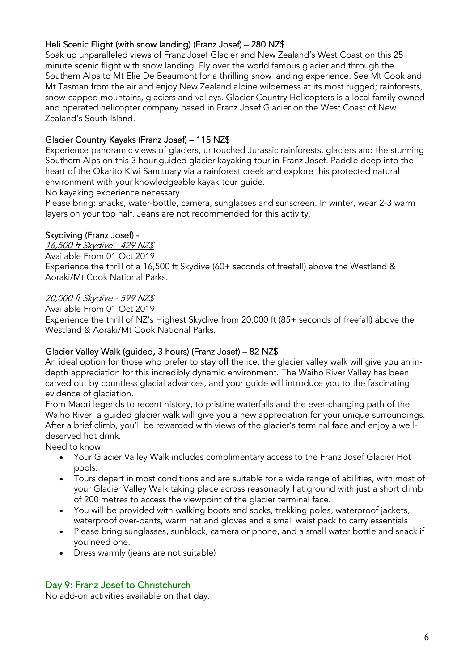# Heli Scenic Flight (with snow landing) (Franz Josef) – 280 NZ\$

Soak up unparalleled views of Franz Josef Glacier and New Zealand's West Coast on this 25 minute scenic flight with snow landing. Fly over the world famous glacier and through the Southern Alps to Mt Elie De Beaumont for a thrilling snow landing experience. See Mt Cook and Mt Tasman from the air and enjoy New Zealand alpine wilderness at its most rugged; rainforests, snow-capped mountains, glaciers and valleys. Glacier Country Helicopters is a local family owned and operated helicopter company based in Franz Josef Glacier on the West Coast of New Zealand's South Island.

# Glacier Country Kayaks (Franz Josef) – 115 NZ\$

Experience panoramic views of glaciers, untouched Jurassic rainforests, glaciers and the stunning Southern Alps on this 3 hour guided glacier kayaking tour in Franz Josef. Paddle deep into the heart of the Okarito Kiwi Sanctuary via a rainforest creek and explore this protected natural environment with your knowledgeable kayak tour guide.

No kayaking experience necessary.

Please bring: snacks, water-bottle, camera, sunglasses and sunscreen. In winter, wear 2-3 warm layers on your top half. Jeans are not recommended for this activity.

## Skydiving (Franz Josef) -

16,500 ft Skydive - 429 NZ\$ Available From 01 Oct 2019 Experience the thrill of a 16,500 ft Skydive (60+ seconds of freefall) above the Westland & Aoraki/Mt Cook National Parks.

## 20,000 ft Skydive - 599 NZ\$

Available From 01 Oct 2019 Experience the thrill of NZ's Highest Skydive from 20,000 ft (85+ seconds of freefall) above the Westland & Aoraki/Mt Cook National Parks.

# Glacier Valley Walk (guided, 3 hours) (Franz Josef) – 82 NZ\$

An ideal option for those who prefer to stay off the ice, the glacier valley walk will give you an indepth appreciation for this incredibly dynamic environment. The Waiho River Valley has been carved out by countless glacial advances, and your guide will introduce you to the fascinating evidence of glaciation.

From Maori legends to recent history, to pristine waterfalls and the ever-changing path of the Waiho River, a guided glacier walk will give you a new appreciation for your unique surroundings. After a brief climb, you'll be rewarded with views of the glacier's terminal face and enjoy a welldeserved hot drink.

Need to know

- Your Glacier Valley Walk includes complimentary access to the Franz Josef Glacier Hot pools.
- Tours depart in most conditions and are suitable for a wide range of abilities, with most of your Glacier Valley Walk taking place across reasonably flat ground with just a short climb of 200 metres to access the viewpoint of the glacier terminal face.
- You will be provided with walking boots and socks, trekking poles, waterproof jackets, waterproof over-pants, warm hat and gloves and a small waist pack to carry essentials
- Please bring sunglasses, sunblock, camera or phone, and a small water bottle and snack if you need one.
- Dress warmly (jeans are not suitable)

# Day 9: Franz Josef to Christchurch

No add-on activities available on that day.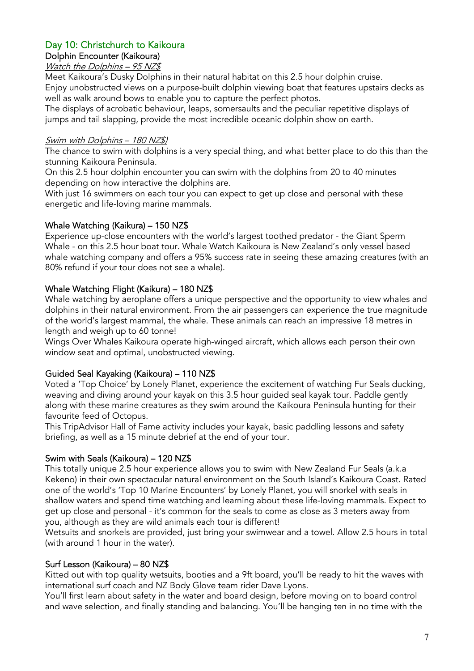# Day 10: Christchurch to Kaikoura

# Dolphin Encounter (Kaikoura)

# Watch the Dolphins – 95 NZ\$

Meet Kaikoura's Dusky Dolphins in their natural habitat on this 2.5 hour dolphin cruise. Enjoy unobstructed views on a purpose-built dolphin viewing boat that features upstairs decks as well as walk around bows to enable you to capture the perfect photos.

The displays of acrobatic behaviour, leaps, somersaults and the peculiar repetitive displays of jumps and tail slapping, provide the most incredible oceanic dolphin show on earth.

### Swim with Dolphins – 180 NZ\$)

The chance to swim with dolphins is a very special thing, and what better place to do this than the stunning Kaikoura Peninsula.

On this 2.5 hour dolphin encounter you can swim with the dolphins from 20 to 40 minutes depending on how interactive the dolphins are.

With just 16 swimmers on each tour you can expect to get up close and personal with these energetic and life-loving marine mammals.

### Whale Watching (Kaikura) – 150 NZ\$

Experience up-close encounters with the world's largest toothed predator - the Giant Sperm Whale - on this 2.5 hour boat tour. Whale Watch Kaikoura is New Zealand's only vessel based whale watching company and offers a 95% success rate in seeing these amazing creatures (with an 80% refund if your tour does not see a whale).

## Whale Watching Flight (Kaikura) – 180 NZ\$

Whale watching by aeroplane offers a unique perspective and the opportunity to view whales and dolphins in their natural environment. From the air passengers can experience the true magnitude of the world's largest mammal, the whale. These animals can reach an impressive 18 metres in length and weigh up to 60 tonne!

Wings Over Whales Kaikoura operate high-winged aircraft, which allows each person their own window seat and optimal, unobstructed viewing.

## Guided Seal Kayaking (Kaikoura) – 110 NZ\$

Voted a 'Top Choice' by Lonely Planet, experience the excitement of watching Fur Seals ducking, weaving and diving around your kayak on this 3.5 hour guided seal kayak tour. Paddle gently along with these marine creatures as they swim around the Kaikoura Peninsula hunting for their favourite feed of Octopus.

This TripAdvisor Hall of Fame activity includes your kayak, basic paddling lessons and safety briefing, as well as a 15 minute debrief at the end of your tour.

## Swim with Seals (Kaikoura) – 120 NZ\$

This totally unique 2.5 hour experience allows you to swim with New Zealand Fur Seals (a.k.a Kekeno) in their own spectacular natural environment on the South Island's Kaikoura Coast. Rated one of the world's 'Top 10 Marine Encounters' by Lonely Planet, you will snorkel with seals in shallow waters and spend time watching and learning about these life-loving mammals. Expect to get up close and personal - it's common for the seals to come as close as 3 meters away from you, although as they are wild animals each tour is different!

Wetsuits and snorkels are provided, just bring your swimwear and a towel. Allow 2.5 hours in total (with around 1 hour in the water).

## Surf Lesson (Kaikoura) – 80 NZ\$

Kitted out with top quality wetsuits, booties and a 9ft board, you'll be ready to hit the waves with international surf coach and NZ Body Glove team rider Dave Lyons.

You'll first learn about safety in the water and board design, before moving on to board control and wave selection, and finally standing and balancing. You'll be hanging ten in no time with the